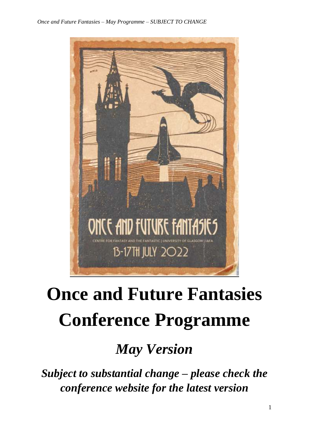

# **Once and Future Fantasies Conference Programme**

*May Version*

*Subject to substantial change – please check the conference website for the latest version*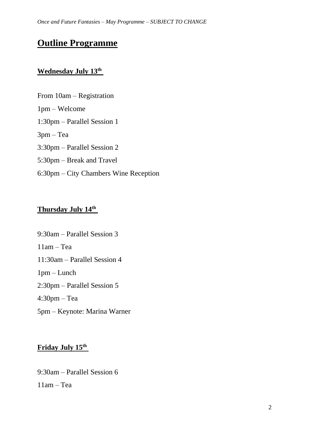# **Outline Programme**

# **Wednesday July 13th**

From 10am – Registration 1pm – Welcome 1:30pm – Parallel Session 1 3pm – Tea 3:30pm – Parallel Session 2 5:30pm – Break and Travel 6:30pm – City Chambers Wine Reception

# **Thursday July 14th**

9:30am – Parallel Session 3  $11$ am – Tea 11:30am – Parallel Session 4 1pm – Lunch 2:30pm – Parallel Session 5 4:30pm – Tea 5pm – Keynote: Marina Warner

# **Friday July 15th**

9:30am – Parallel Session 6 11am – Tea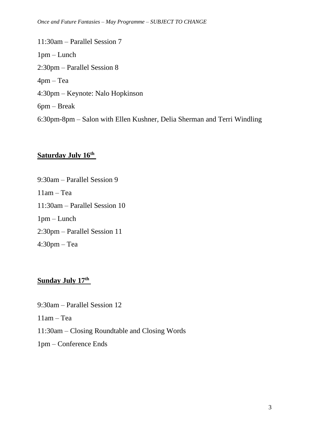11:30am – Parallel Session 7 1pm – Lunch 2:30pm – Parallel Session 8 4pm – Tea 4:30pm – Keynote: Nalo Hopkinson 6pm – Break 6:30pm-8pm – Salon with Ellen Kushner, Delia Sherman and Terri Windling

# **Saturday July 16th**

9:30am – Parallel Session 9 11am – Tea 11:30am – Parallel Session 10 1pm – Lunch 2:30pm – Parallel Session 11 4:30pm – Tea

# **Sunday July 17th**

9:30am – Parallel Session 12

11am – Tea

11:30am – Closing Roundtable and Closing Words

1pm – Conference Ends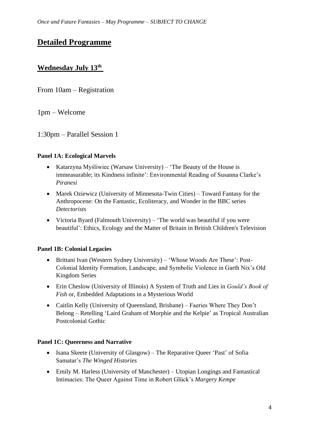# **Detailed Programme**

# **Wednesday July 13th**

From 10am – Registration

1pm – Welcome

1:30pm – Parallel Session 1

#### **Panel 1A: Ecological Marvels**

- Katarzyna Myśliwiec (Warsaw University) 'The Beauty of the House is immeasurable; its Kindness infinite': Environmental Reading of Susanna Clarke's *Piranesi*
- Marek Oziewicz (University of Minnesota-Twin Cities) Toward Fantasy for the Anthropocene: On the Fantastic, Ecoliteracy, and Wonder in the BBC series *Detectorists*
- Victoria Byard (Falmouth University) 'The world was beautiful if you were beautiful': Ethics, Ecology and the Matter of Britain in British Children's Television

#### **Panel 1B: Colonial Legacies**

- Brittani Ivan (Western Sydney University) 'Whose Woods Are These': Post-Colonial Identity Formation, Landscape, and Symbolic Violence in Garth Nix's Old Kingdom Series
- Erin Cheslow (University of Illinois) A System of Truth and Lies in *Gould's Book of Fish* or, Embedded Adaptations in a Mysterious World
- Caitlin Kelly (University of Queensland, Brisbane) Faeries Where They Don't Belong – Retelling 'Laird Graham of Morphie and the Kelpie' as Tropical Australian Postcolonial Gothic

#### **Panel 1C: Queerness and Narrative**

- Isana Skeete (University of Glasgow) The Reparative Queer 'Past' of Sofia Samatar's *The Winged Histories*
- Emily M. Harless (University of Manchester) Utopian Longings and Fantastical Intimacies: The Queer Against Time in Robert Glück's *Margery Kempe*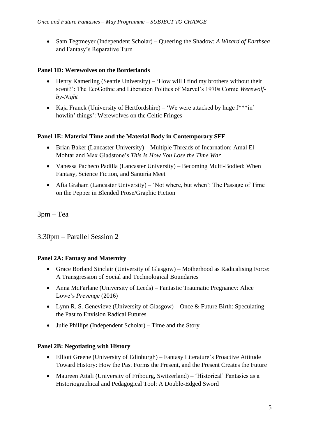• Sam Tegtmeyer (Independent Scholar) – Queering the Shadow: *A Wizard of Earthsea* and Fantasy's Reparative Turn

#### **Panel 1D: Werewolves on the Borderlands**

- Henry Kamerling (Seattle University) 'How will I find my brothers without their scent?': The EcoGothic and Liberation Politics of Marvel's 1970s Comic *Werewolfby-Night*
- Kaja Franck (University of Hertfordshire) 'We were attacked by huge  $f^{***}$ in' howlin' things': Werewolves on the Celtic Fringes

#### **Panel 1E: Material Time and the Material Body in Contemporary SFF**

- Brian Baker (Lancaster University) Multiple Threads of Incarnation: Amal El-Mohtar and Max Gladstone's *This Is How You Lose the Time War*
- Vanessa Pacheco Padilla (Lancaster University) Becoming Multi-Bodied: When Fantasy, Science Fiction, and Santería Meet
- Afia Graham (Lancaster University) 'Not where, but when': The Passage of Time on the Pepper in Blended Prose/Graphic Fiction

3pm – Tea

3:30pm – Parallel Session 2

#### **Panel 2A: Fantasy and Maternity**

- Grace Borland Sinclair (University of Glasgow) Motherhood as Radicalising Force: A Transgression of Social and Technological Boundaries
- Anna McFarlane (University of Leeds) Fantastic Traumatic Pregnancy: Alice Lowe's *Prevenge* (2016)
- Lynn R. S. Genevieve (University of Glasgow) Once & Future Birth: Speculating the Past to Envision Radical Futures
- Julie Phillips (Independent Scholar) Time and the Story

#### **Panel 2B: Negotiating with History**

- Elliott Greene (University of Edinburgh) Fantasy Literature's Proactive Attitude Toward History: How the Past Forms the Present, and the Present Creates the Future
- Maureen Attali (University of Fribourg, Switzerland) 'Historical' Fantasies as a Historiographical and Pedagogical Tool: A Double-Edged Sword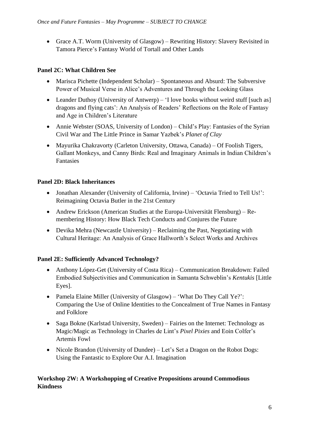• Grace A.T. Worm (University of Glasgow) – Rewriting History: Slavery Revisited in Tamora Pierce's Fantasy World of Tortall and Other Lands

#### **Panel 2C: What Children See**

- Marisca Pichette (Independent Scholar) Spontaneous and Absurd: The Subversive Power of Musical Verse in Alice's Adventures and Through the Looking Glass
- Leander Duthoy (University of Antwerp) 'I love books without weird stuff [such as] dragons and flying cats': An Analysis of Readers' Reflections on the Role of Fantasy and Age in Children's Literature
- Annie Webster (SOAS, University of London) Child's Play: Fantasies of the Syrian Civil War and The Little Prince in Samar Yazbek's *Planet of Clay*
- Mayurika Chakravorty (Carleton University, Ottawa, Canada) Of Foolish Tigers, Gallant Monkeys, and Canny Birds: Real and Imaginary Animals in Indian Children's Fantasies

#### **Panel 2D: Black Inheritances**

- Jonathan Alexander (University of California, Irvine) 'Octavia Tried to Tell Us!': Reimagining Octavia Butler in the 21st Century
- Andrew Erickson (American Studies at the Europa-Universität Flensburg) Remembering History: How Black Tech Conducts and Conjures the Future
- Devika Mehra (Newcastle University) Reclaiming the Past, Negotiating with Cultural Heritage: An Analysis of Grace Hallworth's Select Works and Archives

#### **Panel 2E: Sufficiently Advanced Technology?**

- Anthony López-Get (University of Costa Rica) Communication Breakdown: Failed Embodied Subjectivities and Communication in Samanta Schweblin's *Kentukis* [Little Eyes].
- Pamela Elaine Miller (University of Glasgow) 'What Do They Call Ye?': Comparing the Use of Online Identities to the Concealment of True Names in Fantasy and Folklore
- Saga Bokne (Karlstad University, Sweden) Fairies on the Internet: Technology as Magic/Magic as Technology in Charles de Lint's *Pixel Pixies* and Eoin Colfer's Artemis Fowl
- Nicole Brandon (University of Dundee) Let's Set a Dragon on the Robot Dogs: Using the Fantastic to Explore Our A.I. Imagination

#### **Workshop 2W: A Workshopping of Creative Propositions around Commodious Kindness**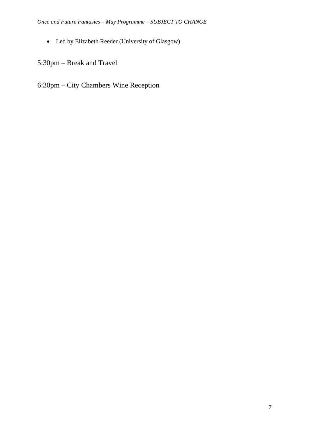• Led by Elizabeth Reeder (University of Glasgow)

5:30pm – Break and Travel

6:30pm – City Chambers Wine Reception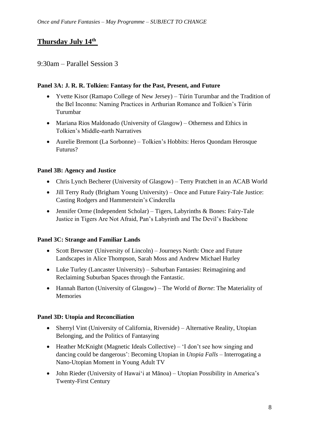# **Thursday July 14th**

## 9:30am – Parallel Session 3

#### **Panel 3A: J. R. R. Tolkien: Fantasy for the Past, Present, and Future**

- Yvette Kisor (Ramapo College of New Jersey) Túrin Turumbar and the Tradition of the Bel Inconnu: Naming Practices in Arthurian Romance and Tolkien's Túrin Turumbar
- Mariana Rios Maldonado (University of Glasgow) Otherness and Ethics in Tolkien's Middle-earth Narratives
- Aurelie Bremont (La Sorbonne) Tolkien's Hobbits: Heros Quondam Herosque Futurus?

#### **Panel 3B: Agency and Justice**

- Chris Lynch Becherer (University of Glasgow) Terry Pratchett in an ACAB World
- Jill Terry Rudy (Brigham Young University) Once and Future Fairy-Tale Justice: Casting Rodgers and Hammerstein's Cinderella
- Jennifer Orme (Independent Scholar) Tigers, Labyrinths & Bones: Fairy-Tale Justice in Tigers Are Not Afraid, Pan's Labyrinth and The Devil's Backbone

#### **Panel 3C: Strange and Familiar Lands**

- Scott Brewster (University of Lincoln) Journeys North: Once and Future Landscapes in Alice Thompson, Sarah Moss and Andrew Michael Hurley
- Luke Turley (Lancaster University) Suburban Fantasies: Reimagining and Reclaiming Suburban Spaces through the Fantastic.
- Hannah Barton (University of Glasgow) The World of *Borne*: The Materiality of Memories

#### **Panel 3D: Utopia and Reconciliation**

- Sherryl Vint (University of California, Riverside) Alternative Reality, Utopian Belonging, and the Politics of Fantasying
- Heather McKnight (Magnetic Ideals Collective) 'I don't see how singing and dancing could be dangerous': Becoming Utopian in *Utopia Falls* – Interrogating a Nano-Utopian Moment in Young Adult TV
- John Rieder (University of Hawaiʻi at Mānoa) Utopian Possibility in America's Twenty-First Century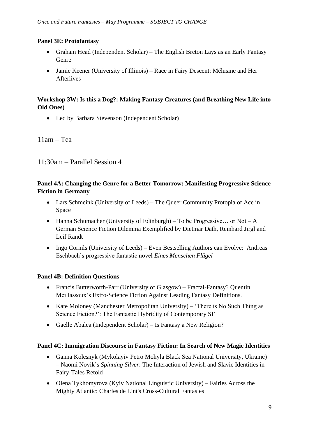#### **Panel 3E: Protofantasy**

- Graham Head (Independent Scholar) The English Breton Lays as an Early Fantasy Genre
- Jamie Keener (University of Illinois) Race in Fairy Descent: Mélusine and Her Afterlives

#### **Workshop 3W: Is this a Dog?: Making Fantasy Creatures (and Breathing New Life into Old Ones)**

• Led by Barbara Stevenson (Independent Scholar)

#### 11am – Tea

11:30am – Parallel Session 4

#### **Panel 4A: Changing the Genre for a Better Tomorrow: Manifesting Progressive Science Fiction in Germany**

- Lars Schmeink (University of Leeds) The Queer Community Protopia of Ace in Space
- Hanna Schumacher (University of Edinburgh) To be Progressive... or Not A German Science Fiction Dilemma Exemplified by Dietmar Dath, Reinhard Jirgl and Leif Randt
- Ingo Cornils (University of Leeds) Even Bestselling Authors can Evolve: Andreas Eschbach's progressive fantastic novel *Eines Menschen Flügel*

#### **Panel 4B: Definition Questions**

- Francis Butterworth-Parr (University of Glasgow) Fractal-Fantasy? Quentin Meillassoux's Extro-Science Fiction Against Leading Fantasy Definitions.
- Kate Moloney (Manchester Metropolitan University) 'There is No Such Thing as Science Fiction?': The Fantastic Hybridity of Contemporary SF
- Gaelle Abalea (Independent Scholar) Is Fantasy a New Religion?

#### **Panel 4C: Immigration Discourse in Fantasy Fiction: In Search of New Magic Identities**

- Ganna Kolesnyk (Mykolayiv Petro Mohyla Black Sea National University, Ukraine) – Naomi Novik's *Spinning Silver*: The Interaction of Jewish and Slavic Identities in Fairy-Tales Retold
- Olena Tykhomyrova (Kyiv National Linguistic University) Fairies Across the Mighty Atlantic: Charles de Lint's Cross-Cultural Fantasies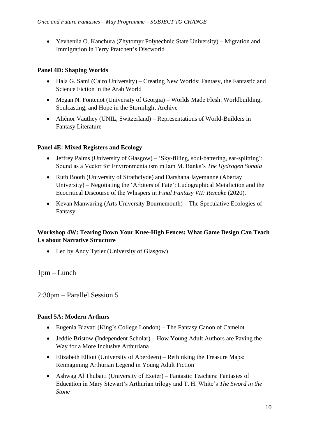• Yevheniia O. Kanchura (Zhytomyr Polytechnic State University) – Migration and Immigration in Terry Pratchett's Discworld

#### **Panel 4D: Shaping Worlds**

- Hala G. Sami (Cairo University) Creating New Worlds: Fantasy, the Fantastic and Science Fiction in the Arab World
- Megan N. Fontenot (University of Georgia) Worlds Made Flesh: Worldbuilding, Soulcasting, and Hope in the Stormlight Archive
- Aliénor Vauthey (UNIL, Switzerland) Representations of World-Builders in Fantasy Literature

#### **Panel 4E: Mixed Registers and Ecology**

- Jeffrey Palms (University of Glasgow) 'Sky-filling, soul-battering, ear-splitting': Sound as a Vector for Environmentalism in Iain M. Banks's *The Hydrogen Sonata*
- Ruth Booth (University of Strathclyde) and Darshana Jayemanne (Abertay University) – Negotiating the 'Arbiters of Fate': Ludographical Metafiction and the Ecocritical Discourse of the Whispers in *Final Fantasy VII: Remake* (2020).
- Kevan Manwaring (Arts University Bournemouth) The Speculative Ecologies of Fantasy

#### **Workshop 4W: Tearing Down Your Knee-High Fences: What Game Design Can Teach Us about Narrative Structure**

• Led by Andy Tytler (University of Glasgow)

1pm – Lunch

2:30pm – Parallel Session 5

#### **Panel 5A: Modern Arthurs**

- Eugenia Biavati (King's College London) The Fantasy Canon of Camelot
- Jeddie Bristow (Independent Scholar) How Young Adult Authors are Paving the Way for a More Inclusive Arthuriana
- Elizabeth Elliott (University of Aberdeen) Rethinking the Treasure Maps: Reimagining Arthurian Legend in Young Adult Fiction
- Ashwag Al Thubaiti (University of Exeter) Fantastic Teachers: Fantasies of Education in Mary Stewart's Arthurian trilogy and T. H. White's *The Sword in the Stone*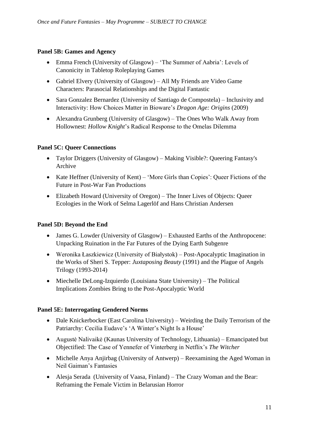#### **Panel 5B: Games and Agency**

- Emma French (University of Glasgow) 'The Summer of Aabria': Levels of Canonicity in Tabletop Roleplaying Games
- Gabriel Elvery (University of Glasgow) All My Friends are Video Game Characters: Parasocial Relationships and the Digital Fantastic
- Sara Gonzalez Bernardez (University of Santiago de Compostela) Inclusivity and Interactivity: How Choices Matter in Bioware's *Dragon Age: Origins* (2009)
- Alexandra Grunberg (University of Glasgow) The Ones Who Walk Away from Hollownest: *Hollow Knight*'s Radical Response to the Omelas Dilemma

#### **Panel 5C: Queer Connections**

- Taylor Driggers (University of Glasgow) Making Visible?: Queering Fantasy's Archive
- Kate Heffner (University of Kent) 'More Girls than Copies': Queer Fictions of the Future in Post-War Fan Productions
- Elizabeth Howard (University of Oregon) The Inner Lives of Objects: Queer Ecologies in the Work of Selma Lagerlöf and Hans Christian Andersen

#### **Panel 5D: Beyond the End**

- James G. Lowder (University of Glasgow) Exhausted Earths of the Anthropocene: Unpacking Ruination in the Far Futures of the Dying Earth Subgenre
- Weronika Łaszkiewicz (University of Białystok) Post-Apocalyptic Imagination in the Works of Sheri S. Tepper: *Juxtaposing Beauty* (1991) and the Plague of Angels Trilogy (1993-2014)
- Miechelle DeLong-Izquierdo (Louisiana State University) The Political Implications Zombies Bring to the Post-Apocalyptic World

#### **Panel 5E: Interrogating Gendered Norms**

- Dale Knickerbocker (East Carolina University) Weirding the Daily Terrorism of the Patriarchy: Cecilia Eudave's 'A Winter's Night Is a House'
- Augustė Nalivaikė (Kaunas University of Technology, Lithuania) Emancipated but Objectified: The Case of Yennefer of Vinterberg in Netflix's *The Witcher*
- Michelle Anya Anjirbag (University of Antwerp) Reexamining the Aged Woman in Neil Gaiman's Fantasies
- Alesja Serada (University of Vaasa, Finland) The Crazy Woman and the Bear: Reframing the Female Victim in Belarusian Horror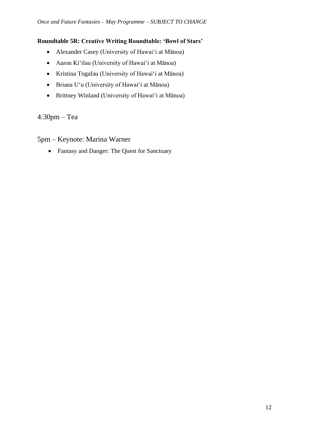#### **Roundtable 5R: Creative Writing Roundtable: 'Bowl of Stars'**

- Alexander Casey (University of Hawai'i at Mānoa)
- Aaron Kiʻilau (University of Hawai'i at Mānoa)
- Kristina Togafau (University of Hawai'i at Mānoa)
- Briana Uʻu (University of Hawai'i at Mānoa)
- Brittney Winland (University of Hawai'i at Mānoa)

4:30pm – Tea

5pm – Keynote: Marina Warner

• Fantasy and Danger: The Quest for Sanctuary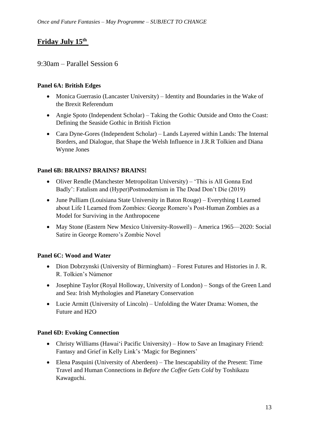# **Friday July 15th**

## 9:30am – Parallel Session 6

#### **Panel 6A: British Edges**

- Monica Guerrasio (Lancaster University) Identity and Boundaries in the Wake of the Brexit Referendum
- Angie Spoto (Independent Scholar) Taking the Gothic Outside and Onto the Coast: Defining the Seaside Gothic in British Fiction
- Cara Dyne-Gores (Independent Scholar) Lands Layered within Lands: The Internal Borders, and Dialogue, that Shape the Welsh Influence in J.R.R Tolkien and Diana Wynne Jones

#### **Panel 6B: BRAINS? BRAINS? BRAINS!**

- Oliver Rendle (Manchester Metropolitan University) 'This is All Gonna End Badly': Fatalism and (Hyper)Postmodernism in The Dead Don't Die (2019)
- June Pulliam (Louisiana State University in Baton Rouge) Everything I Learned about Life I Learned from Zombies: George Romero's Post-Human Zombies as a Model for Surviving in the Anthropocene
- May Stone (Eastern New Mexico University-Roswell) America 1965—2020: Social Satire in George Romero's Zombie Novel

#### **Panel 6C: Wood and Water**

- Dion Dobrzynski (University of Birmingham) Forest Futures and Histories in J. R. R. Tolkien's Númenor
- Josephine Taylor (Royal Holloway, University of London) Songs of the Green Land and Sea: Irish Mythologies and Planetary Conservation
- Lucie Armitt (University of Lincoln) Unfolding the Water Drama: Women, the Future and H2O

#### **Panel 6D: Evoking Connection**

- Christy Williams (Hawaiʻi Pacific University) How to Save an Imaginary Friend: Fantasy and Grief in Kelly Link's 'Magic for Beginners'
- Elena Pasquini (University of Aberdeen) The Inescapability of the Present: Time Travel and Human Connections in *Before the Coffee Gets Cold* by Toshikazu Kawaguchi.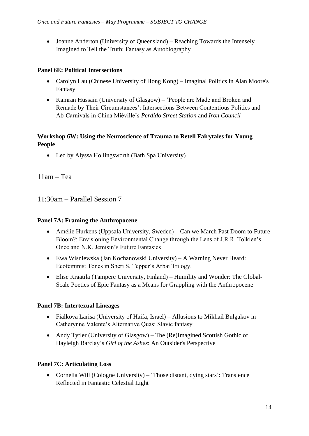• Joanne Anderton (University of Queensland) – Reaching Towards the Intensely Imagined to Tell the Truth: Fantasy as Autobiography

#### **Panel 6E: Political Intersections**

- Carolyn Lau (Chinese University of Hong Kong) Imaginal Politics in Alan Moore's Fantasy
- Kamran Hussain (University of Glasgow) 'People are Made and Broken and Remade by Their Circumstances': Intersections Between Contentious Politics and Ab-Carnivals in China Miéville's *Perdido Street Station* and *Iron Council*

#### **Workshop 6W: Using the Neuroscience of Trauma to Retell Fairytales for Young People**

• Led by Alyssa Hollingsworth (Bath Spa University)

11am – Tea

11:30am – Parallel Session 7

#### **Panel 7A: Framing the Anthropocene**

- Amélie Hurkens (Uppsala University, Sweden) Can we March Past Doom to Future Bloom?: Envisioning Environmental Change through the Lens of J.R.R. Tolkien's Once and N.K. Jemisin's Future Fantasies
- Ewa Wisniewska (Jan Kochanowski University) A Warning Never Heard: Ecofeminist Tones in Sheri S. Tepper's Arbai Trilogy.
- Elise Kraatila (Tampere University, Finland) Humility and Wonder: The Global-Scale Poetics of Epic Fantasy as a Means for Grappling with the Anthropocene

#### **Panel 7B: Intertexual Lineages**

- Fialkova Larisa (University of Haifa, Israel) Allusions to Mikhail Bulgakov in Catherynne Valente's Alternative Quasi Slavic fantasy
- Andy Tytler (University of Glasgow) The (Re)Imagined Scottish Gothic of Hayleigh Barclay's *Girl of the Ashes*: An Outsider's Perspective

#### **Panel 7C: Articulating Loss**

• Cornelia Will (Cologne University) – 'Those distant, dying stars': Transience Reflected in Fantastic Celestial Light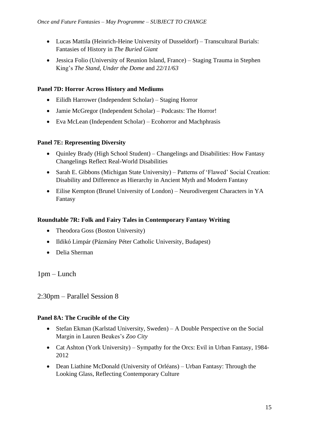- Lucas Mattila (Heinrich-Heine University of Dusseldorf) Transcultural Burials: Fantasies of History in *The Buried Giant*
- Jessica Folio (University of Reunion Island, France) Staging Trauma in Stephen King's *The Stand*, *Under the Dome* and *22/11/63*

#### **Panel 7D: Horror Across History and Mediums**

- Eilidh Harrower (Independent Scholar) Staging Horror
- Jamie McGregor (Independent Scholar) Podcasts: The Horror!
- Eva McLean (Independent Scholar) Ecohorror and Machphrasis

#### **Panel 7E: Representing Diversity**

- Quinley Brady (High School Student) Changelings and Disabilities: How Fantasy Changelings Reflect Real-World Disabilities
- Sarah E. Gibbons (Michigan State University) Patterns of 'Flawed' Social Creation: Disability and Difference as Hierarchy in Ancient Myth and Modern Fantasy
- Eilise Kempton (Brunel University of London) Neurodivergent Characters in YA Fantasy

#### **Roundtable 7R: Folk and Fairy Tales in Contemporary Fantasy Writing**

- Theodora Goss (Boston University)
- Ildikó Limpár (Pázmány Péter Catholic University, Budapest)
- Delia Sherman

1pm – Lunch

2:30pm – Parallel Session 8

#### **Panel 8A: The Crucible of the City**

- Stefan Ekman (Karlstad University, Sweden) A Double Perspective on the Social Margin in Lauren Beukes's *Zoo City*
- Cat Ashton (York University) Sympathy for the Orcs: Evil in Urban Fantasy, 1984-2012
- Dean Liathine McDonald (University of Orléans) Urban Fantasy: Through the Looking Glass, Reflecting Contemporary Culture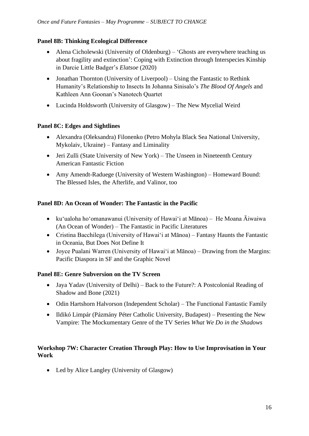#### **Panel 8B: Thinking Ecological Difference**

- Alena Cicholewski (University of Oldenburg) 'Ghosts are everywhere teaching us about fragility and extinction': Coping with Extinction through Interspecies Kinship in Darcie Little Badger's *Elatsoe* (2020)
- Jonathan Thornton (University of Liverpool) Using the Fantastic to Rethink Humanity's Relationship to Insects In Johanna Sinisalo's *The Blood Of Angels* and Kathleen Ann Goonan's Nanotech Quartet
- Lucinda Holdsworth (University of Glasgow) The New Mycelial Weird

#### **Panel 8C: Edges and Sightlines**

- Alexandra (Oleksandra) Filonenko (Petro Mohyla Black Sea National University, Mykolaiv, Ukraine) – Fantasy and Liminality
- Jeri Zulli (State University of New York) The Unseen in Nineteenth Century American Fantastic Fiction
- Amy Amendt-Raduege (University of Western Washington) Homeward Bound: The Blessed Isles, the Afterlife, and Valinor, too

#### **Panel 8D: An Ocean of Wonder: The Fantastic in the Pacific**

- kuʻualoha hoʻomanawanui (University of Hawaiʻi at Mānoa) He Moana Āiwaiwa (An Ocean of Wonder) – The Fantastic in Pacific Literatures
- Cristina Bacchilega (University of Hawai'i at Mānoa) Fantasy Haunts the Fantastic in Oceania, But Does Not Define It
- Joyce Pualani Warren (University of Hawai'i at Mānoa) Drawing from the Margins: Pacific Diaspora in SF and the Graphic Novel

#### **Panel 8E: Genre Subversion on the TV Screen**

- Jaya Yadav (University of Delhi) Back to the Future?: A Postcolonial Reading of Shadow and Bone (2021)
- Odin Hartshorn Halvorson (Independent Scholar) The Functional Fantastic Family
- Ildikó Limpár (Pázmány Péter Catholic University, Budapest) Presenting the New Vampire: The Mockumentary Genre of the TV Series *What We Do in the Shadows*

#### **Workshop 7W: Character Creation Through Play: How to Use Improvisation in Your Work**

• Led by Alice Langley (University of Glasgow)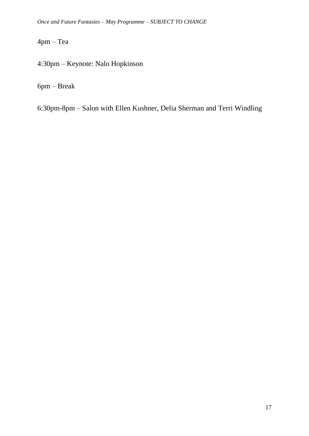4pm – Tea

4:30pm – Keynote: Nalo Hopkinson

6pm – Break

6:30pm-8pm – Salon with Ellen Kushner, Delia Sherman and Terri Windling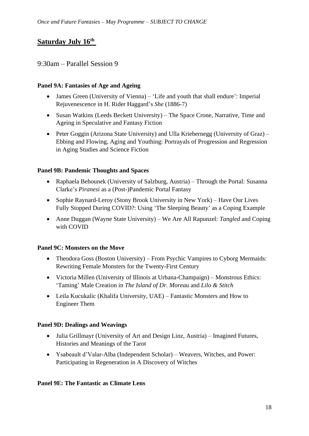# **Saturday July 16th**

#### 9:30am – Parallel Session 9

#### **Panel 9A: Fantasies of Age and Ageing**

- James Green (University of Vienna) 'Life and youth that shall endure': Imperial Rejuvenescence in H. Rider Haggard's *She* (1886-7)
- Susan Watkins (Leeds Beckett University) The Space Crone, Narrative, Time and Ageing in Speculative and Fantasy Fiction
- Peter Goggin (Arizona State University) and Ulla Kriebernegg (University of Graz) Ebbing and Flowing, Aging and Youthing: Portrayals of Progression and Regression in Aging Studies and Science Fiction

#### **Panel 9B: Pandemic Thoughts and Spaces**

- Raphaela Behounek (University of Salzburg, Austria) Through the Portal: Susanna Clarke's *Piranesi* as a (Post-)Pandemic Portal Fantasy
- Sophie Raynard-Leroy (Stony Brook University in New York) Have Our Lives Fully Stopped During COVID?: Using 'The Sleeping Beauty' as a Coping Example
- Anne Duggan (Wayne State University) We Are All Rapunzel: *Tangled* and Coping with COVID

#### **Panel 9C: Monsters on the Move**

- Theodora Goss (Boston University) From Psychic Vampires to Cyborg Mermaids: Rewriting Female Monsters for the Twenty-First Century
- Victoria Millen (University of Illinois at Urbana-Champaign) Monstrous Ethics: 'Taming' Male Creation in *The Island of Dr. Moreau* and *Lilo & Stitch*
- Leila Kucukalic (Khalifa University, UAE) Fantastic Monsters and How to Engineer Them

#### **Panel 9D: Dealings and Weavings**

- Julia Grillmayr (University of Art and Design Linz, Austria) Imagined Futures, Histories and Meanings of the Tarot
- Ysabeault d'Valar-Alba (Independent Scholar) Weavers, Witches, and Power: Participating in Regeneration in A Discovery of Witches

#### **Panel 9E: The Fantastic as Climate Lens**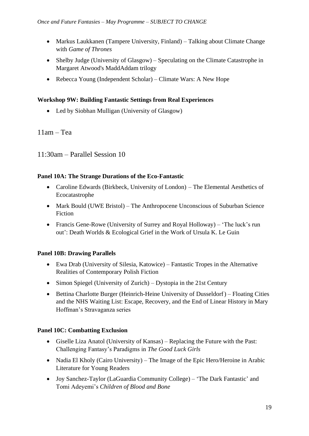- Markus Laukkanen (Tampere University, Finland) Talking about Climate Change with *Game of Thrones*
- Shelby Judge (University of Glasgow) Speculating on the Climate Catastrophe in Margaret Atwood's MaddAddam trilogy
- Rebecca Young (Independent Scholar) Climate Wars: A New Hope

#### **Workshop 9W: Building Fantastic Settings from Real Experiences**

• Led by Siobhan Mulligan (University of Glasgow)

#### 11am – Tea

11:30am – Parallel Session 10

#### **Panel 10A: The Strange Durations of the Eco-Fantastic**

- Caroline Edwards (Birkbeck, University of London) The Elemental Aesthetics of Ecocatastrophe
- Mark Bould (UWE Bristol) The Anthropocene Unconscious of Suburban Science Fiction
- Francis Gene-Rowe (University of Surrey and Royal Holloway) 'The luck's run out': Death Worlds & Ecological Grief in the Work of Ursula K. Le Guin

#### **Panel 10B: Drawing Parallels**

- Ewa Drab (University of Silesia, Katowice) Fantastic Tropes in the Alternative Realities of Contemporary Polish Fiction
- Simon Spiegel (University of Zurich) Dystopia in the 21st Century
- Bettina Charlotte Burger (Heinrich-Heine University of Dusseldorf) Floating Cities and the NHS Waiting List: Escape, Recovery, and the End of Linear History in Mary Hoffman's Stravaganza series

#### **Panel 10C: Combatting Exclusion**

- Giselle Liza Anatol (University of Kansas) Replacing the Future with the Past: Challenging Fantasy's Paradigms in *The Good Luck Girls*
- Nadia El Kholy (Cairo University) The Image of the Epic Hero/Heroine in Arabic Literature for Young Readers
- Joy Sanchez-Taylor (LaGuardia Community College) 'The Dark Fantastic' and Tomi Adeyemi's *Children of Blood and Bone*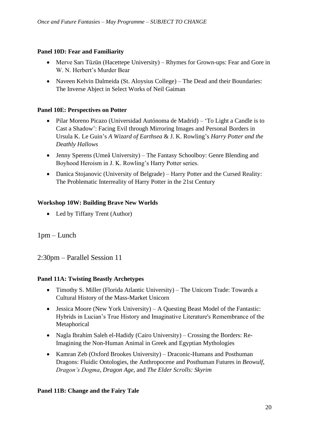#### **Panel 10D: Fear and Familiarity**

- Merve Sarı Tüzün (Hacettepe University) Rhymes for Grown-ups: Fear and Gore in W. N. Herbert's Murder Bear
- Naveen Kelvin Dalmeida (St. Aloysius College) The Dead and their Boundaries: The Inverse Abject in Select Works of Neil Gaiman

#### **Panel 10E: Perspectives on Potter**

- Pilar Moreno Picazo (Universidad Autónoma de Madrid) 'To Light a Candle is to Cast a Shadow': Facing Evil through Mirroring Images and Personal Borders in Ursula K. Le Guin's *A Wizard of Earthsea* & J. K. Rowling's *Harry Potter and the Deathly Hallows*
- Jenny Sperens (Umeå University) The Fantasy Schoolboy: Genre Blending and Boyhood Heroism in J. K. Rowling's Harry Potter series.
- Danica Stojanovic (University of Belgrade) Harry Potter and the Cursed Reality: The Problematic Interreality of Harry Potter in the 21st Century

#### **Workshop 10W: Building Brave New Worlds**

• Led by Tiffany Trent (Author)

#### 1pm – Lunch

2:30pm – Parallel Session 11

#### **Panel 11A: Twisting Beastly Archetypes**

- Timothy S. Miller (Florida Atlantic University) The Unicorn Trade: Towards a Cultural History of the Mass-Market Unicorn
- Jessica Moore (New York University) A Questing Beast Model of the Fantastic: Hybrids in Lucian's True History and Imaginative Literature's Remembrance of the Metaphorical
- Nagla Ibrahim Saleh el-Hadidy (Cairo University) Crossing the Borders: Re-Imagining the Non-Human Animal in Greek and Egyptian Mythologies
- Kamran Zeb (Oxford Brookes University) Draconic-Humans and Posthuman Dragons: Fluidic Ontologies, the Anthropocene and Posthuman Futures in *Beowulf*, *Dragon's Dogma*, *Dragon Age*, and *The Elder Scrolls: Skyrim*

#### **Panel 11B: Change and the Fairy Tale**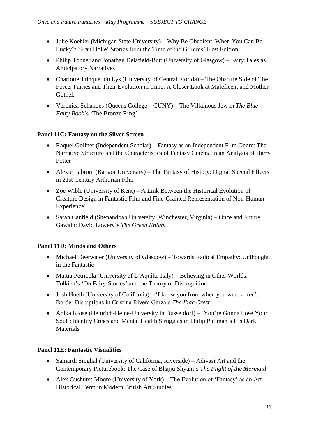- Julie Koehler (Michigan State University) Why Be Obedient, When You Can Be Lucky?: 'Frau Holle' Stories from the Time of the Grimms' First Edition
- Philip Tonner and Jonathan Delafield-Butt (University of Glasgow) Fairy Tales as Anticipatory Narratives
- Charlotte Trinquet du Lys (University of Central Florida) The Obscure Side of The Force: Fairies and Their Evolution in Time: A Closer Look at Maleficent and Mother Gothel.
- Veronica Schanoes (Queens College CUNY) The Villainous Jew in *The Blue Fairy Book*'s 'The Bronze Ring'

#### **Panel 11C: Fantasy on the Silver Screen**

- Raquel Gollner (Independent Scholar) Fantasy as an Independent Film Genre: The Narrative Structure and the Characteristics of Fantasy Cinema in an Analysis of Harry Potter
- Alexie Labrom (Bangor University) The Fantasy of History: Digital Special Effects in 21st Century Arthurian Film
- Zoe Wible (University of Kent) A Link Between the Historical Evolution of Creature Design in Fantastic Film and Fine-Grained Representation of Non-Human Experience?
- Sarah Canfield (Shenandoah University, Winchester, Virginia) Once and Future Gawain: David Lowery's *The Green Knight*

# **Panel 11D: Minds and Others**

- Michael Deerwater (University of Glasgow) Towards Radical Empathy: Unthought in the Fantastic
- Mattia Petricola (University of L'Aquila, Italy) Believing in Other Worlds: Tolkien's 'On Fairy-Stories' and the Theory of Discognition
- Josh Hueth (University of California) 'I know you from when you were a tree': Border Disruptions in Cristina Rivera Garza's *The Iliac Crest*
- Anika Klose (Heinrich-Heine-University in Dusseldorf) 'You're Gonna Lose Your Soul': Identity Crises and Mental Health Struggles in Philip Pullman's His Dark **Materials**

#### **Panel 11E: Fantastic Visualities**

- Samarth Singhal (University of California, Riverside) Adivasi Art and the Contemporary Picturebook: The Case of Bhajju Shyam's *The Flight of the Mermaid*
- Alex Gushurst-Moore (University of York) The Evolution of 'Fantasy' as an Art-Historical Term in Modern British Art Studies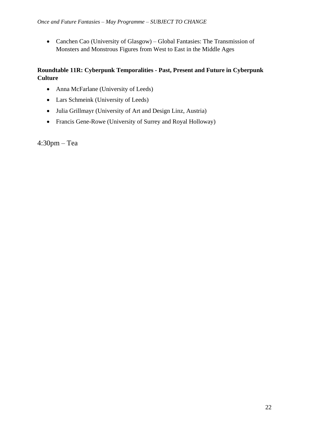• Canchen Cao (University of Glasgow) – Global Fantasies: The Transmission of Monsters and Monstrous Figures from West to East in the Middle Ages

#### **Roundtable 11R: Cyberpunk Temporalities - Past, Present and Future in Cyberpunk Culture**

- Anna McFarlane (University of Leeds)
- Lars Schmeink (University of Leeds)
- Julia Grillmayr (University of Art and Design Linz, Austria)
- Francis Gene-Rowe (University of Surrey and Royal Holloway)

4:30pm – Tea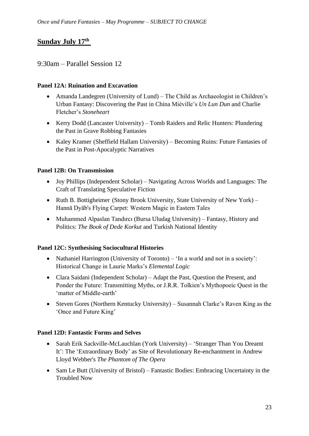# **Sunday July 17th**

# 9:30am – Parallel Session 12

#### **Panel 12A: Ruination and Excavation**

- Amanda Landegren (University of Lund) The Child as Archaeologist in Children's Urban Fantasy: Discovering the Past in China Miéville's *Un Lun Dun* and Charlie Fletcher's *Stoneheart*
- Kerry Dodd (Lancaster University) Tomb Raiders and Relic Hunters: Plundering the Past in Grave Robbing Fantasies
- Kaley Kramer (Sheffield Hallam University) Becoming Ruins: Future Fantasies of the Past in Post-Apocalyptic Narratives

#### **Panel 12B: On Transmission**

- Joy Phillips (Independent Scholar) Navigating Across Worlds and Languages: The Craft of Translating Speculative Fiction
- Ruth B. Bottigheimer (Stony Brook University, State University of New York) Hannā Dyāb's Flying Carpet: Western Magic in Eastern Tales
- Muhammed Alpaslan Tandırcı (Bursa Uludag University) Fantasy, History and Politics: *The Book of Dede Korkut* and Turkish National Identity

#### **Panel 12C: Synthesising Sociocultural Histories**

- Nathaniel Harrington (University of Toronto) 'In a world and not in a society': Historical Change in Laurie Marks's *Elemental Logic*
- Clara Saidani (Independent Scholar) Adapt the Past, Question the Present, and Ponder the Future: Transmitting Myths, or J.R.R. Tolkien's Mythopoeic Quest in the 'matter of Middle-earth'
- Steven Gores (Northern Kentucky University) Susannah Clarke's Raven King as the 'Once and Future King'

#### **Panel 12D: Fantastic Forms and Selves**

- Sarah Erik Sackville-McLauchlan (York University) 'Stranger Than You Dreamt It': The 'Extraordinary Body' as Site of Revolutionary Re-enchantment in Andrew Lloyd Webber's *The Phantom of The Opera*
- Sam Le Butt (University of Bristol) Fantastic Bodies: Embracing Uncertainty in the Troubled Now